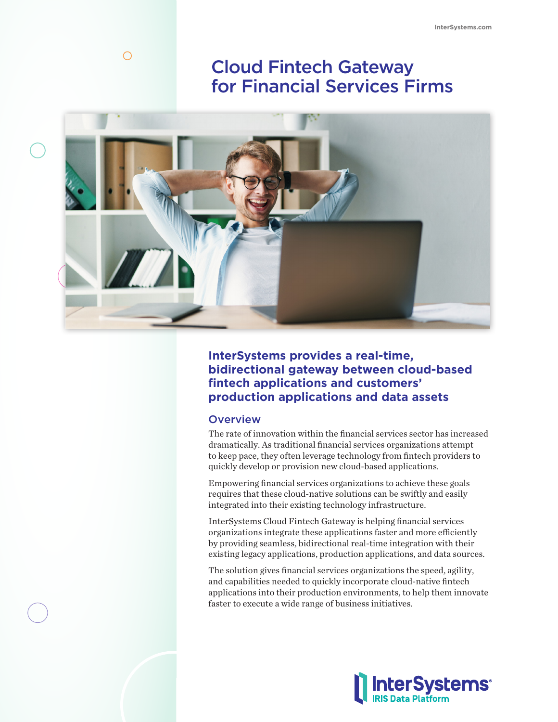# Cloud Fintech Gateway for Financial Services Firms



 $\bigcirc$ 

**InterSystems provides a real-time, bidirectional gateway between cloud-based fintech applications and customers' production applications and data assets**

## **Overview**

The rate of innovation within the financial services sector has increased dramatically. As traditional financial services organizations attempt to keep pace, they often leverage technology from fintech providers to quickly develop or provision new cloud-based applications.

Empowering financial services organizations to achieve these goals requires that these cloud-native solutions can be swiftly and easily integrated into their existing technology infrastructure.

InterSystems Cloud Fintech Gateway is helping financial services organizations integrate these applications faster and more efficiently by providing seamless, bidirectional real-time integration with their existing legacy applications, production applications, and data sources.

The solution gives financial services organizations the speed, agility, and capabilities needed to quickly incorporate cloud-native fintech applications into their production environments, to help them innovate faster to execute a wide range of business initiatives.

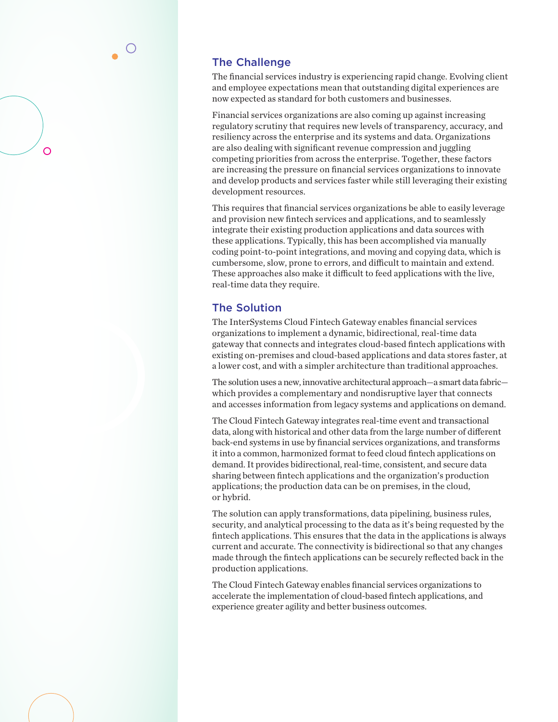## The Challenge

 $\overline{O}$ 

The financial services industry is experiencing rapid change. Evolving client and employee expectations mean that outstanding digital experiences are now expected as standard for both customers and businesses.

Financial services organizations are also coming up against increasing regulatory scrutiny that requires new levels of transparency, accuracy, and resiliency across the enterprise and its systems and data. Organizations are also dealing with significant revenue compression and juggling competing priorities from across the enterprise. Together, these factors are increasing the pressure on financial services organizations to innovate and develop products and services faster while still leveraging their existing development resources.

This requires that financial services organizations be able to easily leverage and provision new fintech services and applications, and to seamlessly integrate their existing production applications and data sources with these applications. Typically, this has been accomplished via manually coding point-to-point integrations, and moving and copying data, which is cumbersome, slow, prone to errors, and difficult to maintain and extend. These approaches also make it difficult to feed applications with the live, real-time data they require.

## The Solution

The InterSystems Cloud Fintech Gateway enables financial services organizations to implement a dynamic, bidirectional, real-time data gateway that connects and integrates cloud-based fintech applications with existing on-premises and cloud-based applications and data stores faster, at a lower cost, and with a simpler architecture than traditional approaches.

The solution uses a new, innovative architectural approach—a smart data fabric which provides a complementary and nondisruptive layer that connects and accesses information from legacy systems and applications on demand.

The Cloud Fintech Gateway integrates real-time event and transactional data, along with historical and other data from the large number of different back-end systems in use by financial services organizations, and transforms it into a common, harmonized format to feed cloud fintech applications on demand. It provides bidirectional, real-time, consistent, and secure data sharing between fintech applications and the organization's production applications; the production data can be on premises, in the cloud, or hybrid.

The solution can apply transformations, data pipelining, business rules, security, and analytical processing to the data as it's being requested by the fintech applications. This ensures that the data in the applications is always current and accurate. The connectivity is bidirectional so that any changes made through the fintech applications can be securely reflected back in the production applications.

The Cloud Fintech Gateway enables financial services organizations to accelerate the implementation of cloud-based fintech applications, and experience greater agility and better business outcomes.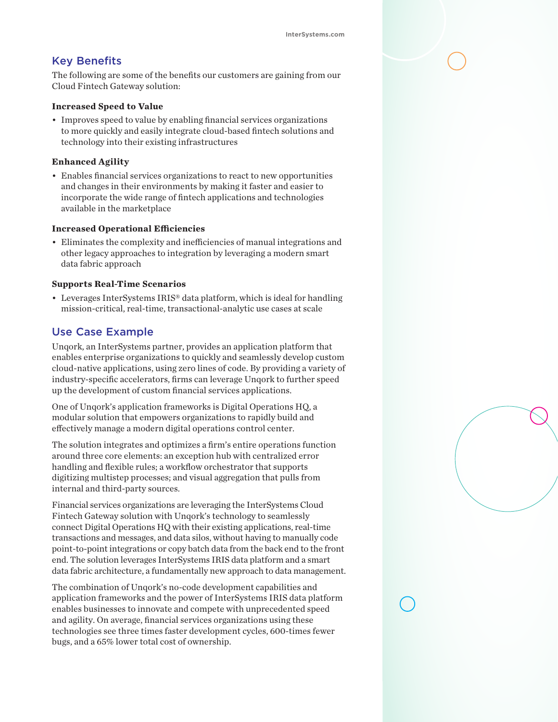# Key Benefits

The following are some of the benefits our customers are gaining from our Cloud Fintech Gateway solution:

#### **Increased Speed to Value**

• Improves speed to value by enabling financial services organizations to more quickly and easily integrate cloud-based fintech solutions and technology into their existing infrastructures

#### **Enhanced Agility**

• Enables financial services organizations to react to new opportunities and changes in their environments by making it faster and easier to incorporate the wide range of fintech applications and technologies available in the marketplace

#### **Increased Operational Efficiencies**

• Eliminates the complexity and inefficiencies of manual integrations and other legacy approaches to integration by leveraging a modern smart data fabric approach

#### **Supports Real-Time Scenarios**

• Leverages InterSystems IRIS<sup>®</sup> data platform, which is ideal for handling mission-critical, real-time, transactional-analytic use cases at scale

## Use Case Example

Unqork, an InterSystems partner, provides an application platform that enables enterprise organizations to quickly and seamlessly develop custom cloud-native applications, using zero lines of code. By providing a variety of industry-specific accelerators, firms can leverage Unqork to further speed up the development of custom financial services applications.

One of Unqork's application frameworks is Digital Operations HQ, a modular solution that empowers organizations to rapidly build and effectively manage a modern digital operations control center.

The solution integrates and optimizes a firm's entire operations function around three core elements: an exception hub with centralized error handling and flexible rules; a workflow orchestrator that supports digitizing multistep processes; and visual aggregation that pulls from internal and third-party sources.

Financial services organizations are leveraging the InterSystems Cloud Fintech Gateway solution with Unqork's technology to seamlessly connect Digital Operations HQ with their existing applications, real-time transactions and messages, and data silos, without having to manually code point-to-point integrations or copy batch data from the back end to the front end. The solution leverages InterSystems IRIS data platform and a smart data fabric architecture, a fundamentally new approach to data management.

The combination of Unqork's no-code development capabilities and application frameworks and the power of InterSystems IRIS data platform enables businesses to innovate and compete with unprecedented speed and agility. On average, financial services organizations using these technologies see three times faster development cycles, 600-times fewer bugs, and a 65% lower total cost of ownership.